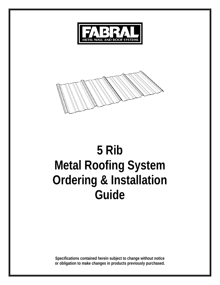



# **5 Rib Metal Roofing System Ordering & Installation Guide**

**Specifications contained herein subject to change without notice or obligation to make changes in products previously purchased.**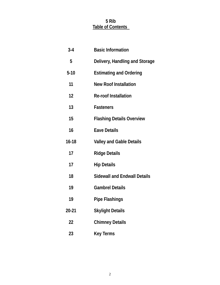# **5 Rib Table of Contents**

| $3-4$     | <b>Basic Information</b>            |
|-----------|-------------------------------------|
| 5         | Delivery, Handling and Storage      |
| $5 - 10$  | <b>Estimating and Ordering</b>      |
| 11        | <b>New Roof Installation</b>        |
| 12        | <b>Re-roof Installation</b>         |
| 13        | <b>Fasteners</b>                    |
| 15        | <b>Flashing Details Overview</b>    |
| 16        | <b>Eave Details</b>                 |
| $16 - 18$ | <b>Valley and Gable Details</b>     |
| 17        | <b>Ridge Details</b>                |
| 17        | <b>Hip Details</b>                  |
| 18        | <b>Sidewall and Endwall Details</b> |
| 19        | <b>Gambrel Details</b>              |
| 19        | <b>Pipe Flashings</b>               |
| 20-21     | <b>Skylight Details</b>             |
| 22        | <b>Chimney Details</b>              |
| 23        | <b>Key Terms</b>                    |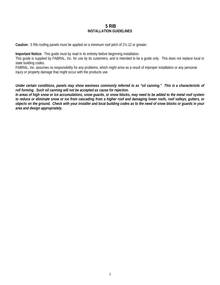# **5 RIB INSTALLATION GUIDELINES**

**Caution:** 5 Rib roofing panels must be applied on a minimum roof pitch of 2½:12 or greater.

**Important Notice:** This guide must by read in its entirety before beginning installation.

This guide is supplied by FABRAL, Inc. for use by its customers, and is intended to be a guide only. This does not replace local or state building codes.

FABRAL, Inc. assumes no responsibility for any problems, which might arise as a result of improper installation or any personal injury or property damage that might occur with the products use.

*Under certain conditions, panels may show waviness commonly referred to as "oil canning." This is a characteristic of roll forming. Such oil canning will not be accepted as cause for rejection.* 

*In areas of high snow or ice accumulations, snow guards, or snow blocks, may need to be added to the metal roof system to reduce or eliminate snow or ice from cascading from a higher roof and damaging lower roofs, roof valleys, gutters, or objects on the ground. Check with your installer and local building codes as to the need of snow blocks or guards in your area and design appropriately.*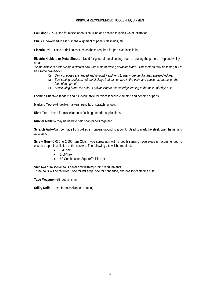#### **MINIMUM RECOMMENDED TOOLS & EQUIPMENT**

**Caulking Gun—**Used for miscellaneous caulking and sealing to inhibit water infiltration.

**Chalk Line—**Used to assist in the alignment of panels, flashings, etc.

**Electric Drill—**Used to drill holes such as those required for pop rivet installation.

**Electric Nibblers or Metal Shears—**Used for general metal cutting, such as cutting the panels in hip and valley areas.

 *Some installers prefer using a circular saw with a metal cutting abrasive blade. This method may be faster, but it has some drawbacks:* 

- *Saw cut edges are jagged and unsightly and tend to rust more quickly than sheared edges.*
- *Saw cutting produces hot metal filings that can embed in the paint and cause rust marks on the face of the panel.*
- *Saw cutting burns the paint & galvanizing at the cut edge leading to the onset of edge rust.*

**Locking Pliers—**Standard and "Duckbill" style for miscellaneous clamping and bending of parts.

**Marking Tools—**Indelible markers, pencils, or scratching tools.

**Rivet Tool—**Used for miscellaneous flashing and trim applications.

**Rubber Mallet –** may be used to help snap panels together.

**Scratch Awl—**Can be made from old screw drivers ground to a point. Used to mark the steel, open hems, and as a punch.

**Screw Gun—**2,000 to 2,500 rpm Clutch type screw gun with a depth sensing nose piece is recommended to ensure proper installation of the screws. The following bits will be required:

- $\bullet$  1/4" hex
- $\bullet$  5/16" hex
- #2 Combination Square/Phillips bit

**Snips—**For miscellaneous panel and flashing cutting requirements. Three pairs will be required: one for left edge, one for right edge, and one for centerline cuts.

**Tape Measure—**25 foot minimum.

**Utility Knife—**Used for miscellaneous cutting.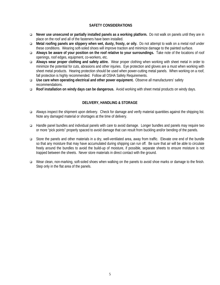# **SAFETY CONSIDERATIONS**

- **Never use unsecured or partially installed panels as a working platform.** Do not walk on panels until they are in place on the roof and all of the fasteners have been installed.
- **Metal roofing panels are slippery when wet, dusty, frosty, or oily.** Do not attempt to walk on a metal roof under these conditions. Wearing soft-soled shoes will improve traction and minimize damage to the painted surface.
- **Always be aware of your position on the roof relative to your surroundings.** Take note of the locations of roof openings, roof edges, equipment, co-workers, etc.
- **Always wear proper clothing and safety attire.** Wear proper clothing when working with sheet metal in order to minimize the potential for cuts, abrasions and other injuries. Eye protection and gloves are a must when working with sheet metal products. Hearing protection should be used when power-cutting metal panels. When working on a roof, fall protection is highly recommended. Follow all OSHA Safety Requirements.
- **Use care when operating electrical and other power equipment.** Observe all manufacturers' safety recommendations.
- **Roof installation on windy days can be dangerous.** Avoid working with sheet metal products on windy days.

# **DELIVERY, HANDLING & STORAGE**

- Always inspect the shipment upon delivery. Check for damage and verify material quantities against the shipping list. Note any damaged material or shortages at the time of delivery.
- Handle panel bundles and individual panels with care to avoid damage. Longer bundles and panels may require two or more "pick points" properly spaced to avoid damage that can result from buckling and/or bending of the panels.
- Store the panels and other materials in a dry, well-ventilated area, away from traffic. Elevate one end of the bundle so that any moisture that may have accumulated during shipping can run off. Be sure that air will be able to circulate freely around the bundles to avoid the build-up of moisture, if possible, separate sheets to ensure moisture is not trapped between the sheets. Never store materials in direct contact with the ground.
- Wear clean, non-marking, soft-soled shoes when walking on the panels to avoid shoe marks or damage to the finish. Step only in the flat area of the panels.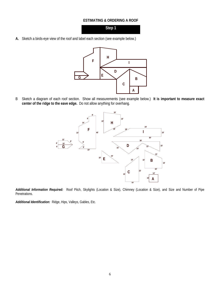#### **ESTIMATING & ORDERING A ROOF**

**Step 1** 

**A.** Sketch a birds-eye view of the roof and label each section (see example below.)



B Sketch a diagram of each roof section. Show all measurements (see example below.) **It is important to measure exact center of the ridge to the eave edge.** Do not allow anything for overhang.



*Additional Information Required:* Roof Pitch, Skylights (Location & Size), Chimney (Location & Size), and Size and Number of Pipe Penetrations.

*Additional Identification:* Ridge, Hips, Valleys, Gables, Etc.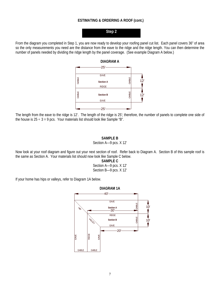# **ESTIMATING & ORDERING A ROOF (cont.)**

# **Step 2**

From the diagram you completed in Step 1, you are now ready to develop your roofing panel cut list. Each panel covers 36" of area so the only measurements you need are the distance from the eave to the ridge and the ridge length. You can then determine the number of panels needed by dividing the ridge length by the panel coverage. (See example Diagram A below.)



The length from the eave to the ridge is 12'. The length of the ridge is 25'; therefore, the number of panels to complete one side of the house is  $25 \div 3 = 9$  pcs. Your materials list should look like Sample "B".

#### **SAMPLE B**

#### Section A—9 pcs. X 12'

Now look at your roof diagram and figure out your next section of roof. Refer back to Diagram A. Section B of this sample roof is the same as Section A. Your materials list should now look like Sample C below.

> **SAMPLE C**  Section A—9 pcs. X 12' Section B—9 pcs. X 12'

If your home has hips or valleys, refer to Diagram 1A below.

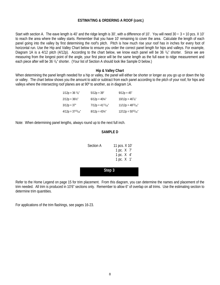# **ESTIMATING & ORDERING A ROOF (cont.)**

Start with section A. The eave length is 40' and the ridge length is 30', with a difference of 10'. You will need  $30 \div 3 = 10$  pcs. X 10' to reach the area where the valley starts. Remember that you have 10' remaining to cover the area. Calculate the length of each panel going into the valley by first determining the roof's pitch. Pitch is how much rise your roof has in inches for every foot of horizontal run. Use the Hip and Valley Chart below to ensure you order the correct panel length for hips and valleys. For example, Diagram 1A is a 4/12 pitch (4/12p). According to the chart below, we know each panel will be 36  $\frac{1}{8}$ " shorter. Since we are measuring from the longest point of the angle, your first piece will be the same length as the full eave to ridge measurement and each piece after will be 36  $1/s''$  shorter. (Your list of Section A should look like Sample D below.)

#### **Hip & Valley Chart**

When determining the panel length needed for a hip or valley, the panel will either be shorter or longer as you go up or down the hip or valley. The chart below shows you the amount to add or subtract from each panel according to the pitch of your roof, for hips and valleys where the intersecting roof planes are at 90º to another, as in diagram 1A.

| $1/12p = 36$ $\frac{1}{8}$ | $5/12p = 39"$           | $9/12p = 45"$           |
|----------------------------|-------------------------|-------------------------|
| $2/12p = 36\frac{1}{2}$    | $6/12p = 40\frac{1}{4}$ | $10/12p = 467/s''$      |
| $3/12p = 37"$              | $7/12p = 41^{11}/16''$  | $11/12p = 48^{13}/16$   |
| $4/12p = 37^{15}/_{16}$ "  | $8/12p = 43\frac{1}{4}$ | $12/12p = 50^{15}/16''$ |

Note: When determining panel lengths, always round up to the next full inch.

#### **SAMPLE D**

| Section A | 11 pcs. X 10' |  |  |  |
|-----------|---------------|--|--|--|
|           | 1 pc. X 7'    |  |  |  |
|           | 1 pc. X 4'    |  |  |  |
|           | 1 pc. X 1'    |  |  |  |
|           |               |  |  |  |

Refer to the Home Legend on page 15 for trim placement. From this diagram, you can determine the names and placement of the trim needed. All trim is produced in 10'6" sections only. Remember to allow 6" of overlap on all trims. Use the estimating section to determine trim quantities.

**Step 3** 

For applications of the trim flashings, see pages 16-23.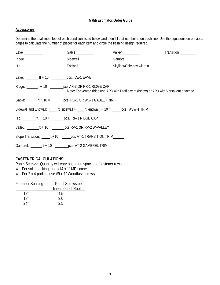# **5 Rib Estimator/Order Guide**

# **Accessories**

Determine the total lineal feet of each condition listed below and then fill that number in on each line. Use the equations on previous pages to calculate the number of pieces for each item and circle the flashing design required.

| Eave $\_\_$                       | Gable                                                                                       | Valley___________                                                                       | Transition _________ |
|-----------------------------------|---------------------------------------------------------------------------------------------|-----------------------------------------------------------------------------------------|----------------------|
| Ridge__________                   | Sidewall                                                                                    | Gambrel                                                                                 |                      |
| $\mathsf{Hip}\_\_\_\_\_\_\_\_\_\$ | Endwall___________                                                                          | Skylight/Chimney width $=$ _______                                                      |                      |
|                                   | Eave: $ft \div 10 =$ pcs. CE-1 EAVE                                                         |                                                                                         |                      |
|                                   | Ridge: $\angle$ ft ÷ 10= $\angle$ pcs AR-3 OR RR-1 RIDGE CAP                                | Note: For vented ridge use AR3 with Profile vent (below) or AR3 with Versavent attached |                      |
|                                   | Gable: $ft \div 10 = \underline{\hspace{2cm}} pcs$ RG-1 OR WG-1 GABLE TRIM                  |                                                                                         |                      |
|                                   | Sidewall and Endwall: $($ ft. sidewall +  ft. endwall) $\div$ 10 = $\angle$ pcs. ASW-1 TRIM |                                                                                         |                      |
|                                   | Hip: __________ ft. $\div$ 10 = __________ pcs. RR-1 RIDGE CAP                              |                                                                                         |                      |
|                                   | Valley: $ft \div 10 = \underline{\qquad}$ pcs RV-1 OR RV-2 W-VALLEY                         |                                                                                         |                      |
|                                   | Slope Transition: $ft ÷ 10 = \_\_\_\_\_\_\_$ PCS AT-1 TRANSITION TRIM                       |                                                                                         |                      |
|                                   | Gambrel: $\frac{f}{f}$ = 10 = $\frac{1}{f}$ pcs AT-2 GAMBREL TRIM                           |                                                                                         |                      |

# **FASTENER CALCULATIONS:**

Panel Screws: Quantity will vary based on spacing of fastener rows.

- For solid decking, use  $#14 \times 1"$  MP screws.
- For 2 x 4 purlins, use #9 x 1" Woodfast screws

| <b>Fastener Spacing</b> | Panel Screws per       |
|-------------------------|------------------------|
|                         | lineal foot of Roofing |
| 12"                     | 4.5                    |
| 18″                     | 3.0                    |
| 24"                     | 2.5                    |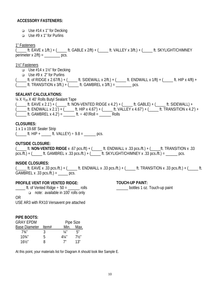# **ACCESSORY FASTENERS:**

- $\Box$  Use #14 x 1" for Decking
- $\Box$  Use #9 x 1" for Purlins

#### 1" Fasteners

 $\overline{f}$  ft. EAVE x 1/ft.) + ( ft. GABLE x 2/ft) + ( ft. VALLEY x 3/ft.) + ( ft. SKYLIGHT/CHIMNEY perimeter  $x \frac{2}{t} = \underline{\qquad \qquad} \text{pcs}.$ 

# 1½" Fasteners

- $\Box$  Use #14 x 1½" for Decking
- $\Box$  Use #9 x 2" for Purlins
- $($  ft. of RIDGE x 2.67/ft.) +  $($  ft. SIDEWALL x 2/ft.) +  $($  ft. ENDWALL x 1/ft) +  $($  ft. HIP x 4/ft) +  $($ \_\_\_\_\_\_\_ ft. TRANSITION x 3/ft.) +  $($ \_\_\_\_\_\_\_ ft. GAMBREL x 3/ft.) = \_\_\_\_\_\_\_\_\_\_ pcs.

# **SEALANT CALCULATIONS:**

 $\frac{1}{4}$  X  $\frac{3}{16}$  X 40' Rolls Butyl Sealant Tape

 $($  ft. EAVE x 2.1') +  $($  ft. NON-VENTED RIDGE x 4.2') +  $($  ft. GABLE) +  $($  ft. SIDEWALL) + (\_\_\_\_ ft. ENDWALL x 2.1') + (\_\_\_\_\_ ft. HIP x 4.67') + (\_\_\_\_\_ ft. VALLEY x 4.67') + (\_\_\_\_\_ ft. TRANSITION x 4.2') +  $($  ft. GAMBREL x 4.2') = ft. ÷ 40'/Roll = Rolls

# **CLOSURES:**

1 x 1 x 19.68' Sealer Strip  $($   $\equiv$  ft. HIP +  $\equiv$  ft. VALLEY) ÷ 9.8 =  $\equiv$  pcs.

# **OUTSIDE CLOSURE:**

(\_\_\_\_\_ ft. **NON-VENTED RIDGE** x .67 pcs./ft) + (\_\_\_\_\_ ft. ENDWALL x .33 pcs./ft.) + (\_\_\_\_\_ft. TRANSITION x .33  $pcs./ft.$ ) + (\_\_\_\_\_\_ ft. GAMBREL x .33 pcs./ft.) + (\_\_\_\_\_ ft. SKYLIGHT/CHIMNEY x .33 pcs./ft.) = \_\_\_\_\_\_ pcs.

#### **INSIDE CLOSURES:**

( $\pm$  ft. EAVE x .33 pcs./ft.) + ( $\pm$  ft. ENDWALL x .33 pcs./ft.) + ( $\pm$  ft. TRANSITION x .33 pcs./ft.) + ( $\pm$  ft. GAMBREL x .33 pcs./ft.) = \_\_\_\_\_ pcs.

# **PROFILE VENT FOR VENTED RIDGE:**

#### **TOUCH-UP PAINT:**

\_\_\_\_\_\_ bottles 1 oz. Touch-up paint

 $\frac{1}{2}$  ft. of Vented Ridge  $\div$  50 =  $\frac{1}{2}$  rolls note: available in 100' rolls only OR

USE AR3 with RX10 Versavent pre attached

# **PIPE BOOTS:**

| <b>GRAY EPDM</b>     | Pipe Size |                  |                |
|----------------------|-----------|------------------|----------------|
| <b>Base Diameter</b> | Item#     | Min.             | Max.           |
| 73/4''               | 3         | $\frac{1}{4}$ "  | Ҕ″             |
| $10^{3}/_{4}$ "      | b         | $4\frac{1}{4}$ " | $7\frac{1}{2}$ |
| $16\frac{1}{2}$      | R         | 7"               | 1?"            |

At this point, your materials list for Diagram A should look like Sample E.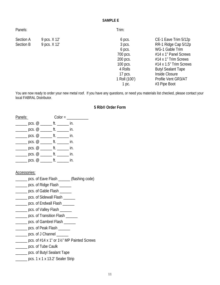#### **SAMPLE E**

Panels:

Section A 9 pcs. X 12' Section B 9 pcs. X 12' Trim:

 6 pcs. CE-1 Eave Trim 5/12p 3 pcs. RR-1 Ridge Cap 5/12p 6 pcs. WG-1 Gable Trim 700 pcs.  $#14 \times 1"$  Panel Screws 200 pcs. #14 x 1" Trim Screws 100 pcs. #14 x 1.5" Trim Screws 4 Rolls Butyl Sealant Tape 17 pcs. Inside Closure 1 Roll (100') Profile Vent GR3/AT 1 pc. #3 Pipe Boot

You are now ready to order your new metal roof. If you have any questions, or need you materials list checked, please contact your local FABRAL Distributor.

# **5 Rib® Order Form**

| Panels:                                                 |       | $\text{Color} =$ |  |
|---------------------------------------------------------|-------|------------------|--|
|                                                         |       |                  |  |
| $\frac{1}{2}$ pcs. @ ________ ft. ________ in.          |       |                  |  |
| $\rule{1em}{0.15mm}$ pcs. @ _________ ft. _________ in. |       |                  |  |
|                                                         |       |                  |  |
| $\frac{1}{2}$ pcs. @ ________ ft. ________ in.          |       |                  |  |
| pcs. $@$ _________ ft. __________ in.                   |       |                  |  |
| pcs. @                                                  | tt. I |                  |  |

# Accessories:

- \_\_\_\_\_\_ pcs. of Eave Flash \_\_\_\_\_\_ (flashing code)
- \_\_\_\_\_\_\_ pcs. of Ridge Flash \_\_\_
- \_\_\_\_\_\_\_ pcs. of Gable Flash \_\_\_\_\_\_
- **\_\_\_\_\_\_ pcs. of Sidewall Flash \_\_\_\_\_\_**
- \_\_\_\_\_\_\_ pcs. of Endwall Flash \_\_\_\_\_\_
- \_\_\_\_\_\_\_ pcs. of Valley Flash \_\_\_\_\_\_
- \_\_\_\_\_\_ pcs. of Transition Flash \_\_\_\_\_\_
- \_\_\_\_\_\_ pcs. of Gambrel Flash \_\_\_\_\_
- \_\_\_\_\_\_ pcs. of Peak Flash \_\_\_\_\_
- \_\_\_\_\_\_ pcs. of J Channel \_\_\_\_\_\_
- \_\_\_\_\_\_ pcs. of #14 x 1" or 1½" MP Painted Screws
- \_\_\_\_\_\_ pcs. of Tube Caulk
- **\_\_\_\_\_\_** pcs. of Butyl Sealant Tape
- \_\_\_\_\_\_ pcs. 1 x 1 x 13.2' Sealer Strip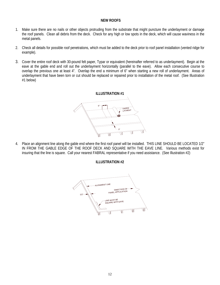# **NEW ROOFS**

- 1. Make sure there are no nails or other objects protruding from the substrate that might puncture the underlayment or damage the roof panels. Clean all debris from the deck. Check for any high or low spots in the deck, which will cause waviness in the metal panels.
- 2. Check all details for possible roof penetrations, which must be added to the deck prior to roof panel installation (vented ridge for example).
- 3. Cover the entire roof deck with 30-pound felt paper, Typar or equivalent (hereinafter referred to as underlayment). Begin at the eave at the gable end and roll out the underlayment horizontally (parallel to the eave). Allow each consecutive course to overlap the previous one at least 4". Overlap the end a minimum of 6" when starting a new roll of underlayment. Areas of underlayment that have been torn or cut should be replaced or repaired prior to installation of the metal roof. (See Illustration #1 below)



4. Place an alignment line along the gable end where the first roof panel will be installed. THIS LINE SHOULD BE LOCATED 1/2" IN FROM THE GABLE EDGE OF THE ROOF DECK AND SQUARE WITH THE EAVE LINE. Various methods exist for insuring that the line is square. Call your nearest FABRAL representative if you need assistance. (See Illustration #2)

**ILLUSTRATION #2**

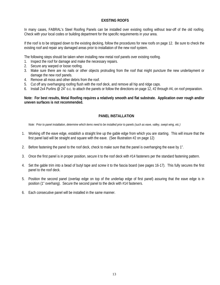# **EXISTING ROOFS**

In many cases, FABRAL's Steel Roofing Panels can be installed over existing roofing without tear-off of the old roofing. Check with your local codes or building department for the specific requirements in your area.

If the roof is to be stripped down to the existing decking, follow the procedures for new roofs on page 12. Be sure to check the existing roof and repair any damaged areas prior to installation of the new roof system.

The following steps should be taken when installing new metal roof panels over existing roofing.

- 1. Inspect the roof for damage and make the necessary repairs.
- 2. Secure any warped or loose roofing.
- 3. Make sure there are no nails or other objects protruding from the roof that might puncture the new underlayment or damage the new roof panels.
- 4. Remove all moss and other debris from the roof.
- 5. Cut off any overhanging roofing flush with the roof deck, and remove all hip and ridge caps.
- 6. Install 2x4 Purlins @ 24" o.c. to attach the panels or follow the directions on page 12, #2 through #4, on roof preparation.

**Note: For best results, Metal Roofing requires a relatively smooth and flat substrate. Application over rough and/or uneven surfaces is not recommended.**

# **PANEL INSTALLATION**

*Note: Prior to panel installation, determine which items need to be installed prior to panels (such as eave, valley, swept wing, etc.)* 

- 1. Working off the eave edge, establish a straight line up the gable edge from which you are starting. This will insure that the first panel laid will be straight and square with the eave. (See Illustration #2 on page 12)
- 2. Before fastening the panel to the roof deck, check to make sure that the panel is overhanging the eave by 1".
- 3. Once the first panel is in proper position, secure it to the roof deck with #14 fasteners per the standard fastening pattern.
- 4. Set the gable trim into a bead of butyl tape and screw it to the fascia board (see pages 16-17). This fully secures the first panel to the roof deck.
- 5. Position the second panel (overlap edge on top of the underlap edge of first panel) assuring that the eave edge is in position (1" overhang). Secure the second panel to the deck with #14 fasteners.
- 6. Each consecutive panel will be installed in the same manner.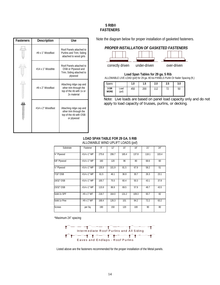# **5 RIB® FASTENERS**

| <b>Fasteners</b> | Description       | Use                                                                                           |
|------------------|-------------------|-----------------------------------------------------------------------------------------------|
|                  | #9 x 1" Woodfast  | Roof Panels attached to<br>Purlins and Trim; Siding<br>attached to wood girts                 |
|                  | #14 x 1" Woodtite | Roof Panels attached to<br>OSB or Plywood and<br>Trim; Siding attached to<br>plywood          |
|                  | #9 x 2" Woodfast  | Attaching ridge cap and<br>other trim through the<br>top of the rib with 1x or<br>2x material |
|                  | #14 x 2" Woodfast | Attaching ridge cap and<br>other trim through the<br>top of the rib with OSB<br>or plywood    |

Note the diagram below for proper installation of gasketed fasteners.

# *PROPER INSTALLATION OF GASKETED FASTENERS*



**Load Span Tables for 29 ga. 5 Rib**  ALLOWABLE LIVE LOAD (psf) for 29 ga. 80 ksi PANELS Purlin Or Nailer Spacing (ft.)

| Spans               |               | 1.0 | 1.5 | 2.0 | 2.5 | 3.0 |
|---------------------|---------------|-----|-----|-----|-----|-----|
| 3 OR<br><b>MORE</b> | Load<br>(psf) | 450 | 200 | 112 |     | 50  |

Note: Live loads are based on panel load capacity only and do not apply to load capacity of trusses, purlins, or decking.

#### **LOAD SPAN TABLE FOR 29 GA. 5 RIB**  ALLOWABLE WIND UPLIFT LOADS (psf)

| Substrate     | Fastener    | 9"    | 12"   | 15"   | 18"   | 21"   | 24"   |
|---------------|-------------|-------|-------|-------|-------|-------|-------|
| 3/4" Plywood  | #14 x 1" MP | 275.6 | 206.7 | 165.4 | 137.8 | 118.1 | 103.4 |
| 5/8" Plywood  | #14 x 1" MP | 160   | 120   | 96    | 80    | 68.6  | 60    |
| 1/2" Plywood  | #14 x 1" MP | 135.9 | 101.9 | 81.5  | 67.9  | 58.2  | 51    |
| 7/16" OSB     | #14 x 1" MP | 61.5  | 46.1  | 36.9  | 30.7  | 26.3  | 23.1  |
| 19/32" OSB    | #14 x 1" MP | 100.7 | 75.5  | 60.4  | 50.3  | 43.1  | 37.8  |
| 23/32" OSB    | #14 x 1" MP | 115.9 | 86.9  | 69.5  | 57.9  | 49.7  | 43.5  |
| Solid 2x SPF  | #9 x 1" WF  | 218.7 | 164.0 | 131.2 | 109.3 | 93.7  | 82    |
| Solid 1x Pine | #9 x 1" WF  | 168.4 | 126.3 | 101   | 84.2  | 72.2  | 63.2  |
| <b>Screws</b> | per Sq.     | 190   | 150   | 120   | 100   | 90    | 80    |

\*Maximum 24" spacing



Listed above are the fasteners recommended for the proper installation of the Metal panels.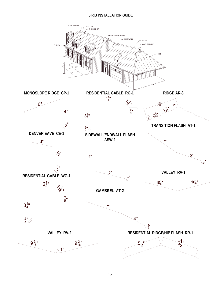# **5 RIB INSTALLATION GUIDE**

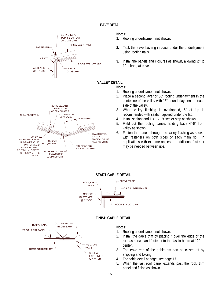# **EAVE DETAIL**



# **Notes:**

- **1.** Roofing underlayment not shown.
- **2.** Tack the eave flashing in place under the underlayment using roofing nails.
- **3.** Install the panels and closures as shown, allowing ½" to 1" of hang at eave.

# **VALLEY DETAIL**

#### **Notes:**

- 1. Roofing underlayment not shown.
- 2. Place a second layer of 36" roofing underlayment in the centerline of the valley with 18" of underlayment on each side of the valley.
- 3. When valley flashing is overlapped, 6" of lap is recommended with sealant applied under the lap.
- 4. Install sealant and 1 x 1 x 19' sealer strip as shown.
- 5. Field cut the roofing panels holding back 4"-6" from valley as shown.
- 6. Fasten the panels through the valley flashing as shown with fasteners on both sides of each main rib. In applications with extreme angles, an additional fastener may be needed between ribs.





# **FINISH GABLE DETAIL**



- 1. Roofing underlayment not shown.
- 2. Install the gable trim by placing it over the edge of the roof as shown and fasten it to the fascia board at 12" on center.
- 3. The eave end of the gable-trim can be closed-off by snipping and folding.
- 4. For gable detail at ridge, see page 17.
- 5. When the last roof panel extends past the roof, trim panel and finish as shown.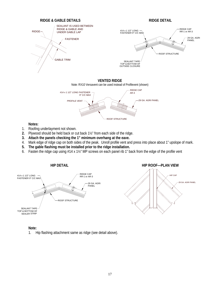



**Notes:**

- 1. Roofing underlayment not shown.
- **2.** Plywood should be held back or cut back 1½" from each side of the ridge.
- **3. Attach the panels checking the 1" minimum overhang at the eave.**
- 4. Mark edge of ridge cap on both sides of the peak. Unroll profile vent and press into place about 1" upslope of mark.
- **5. The gable flashing must be installed prior to the ridge installation.**
- 6. Fasten the ridge cap using #14 x 1½" MP screws on each panel rib 1" back from the edge of the profile vent



#### **Note:**

1. Hip flashing attachment same as ridge (see detail above).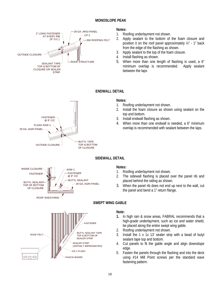# **MONOSLOPE PEAK**



#### **Notes:**

- 1. Roofing underlayment not shown.
- 2. Apply sealant to the bottom of the foam closure and position it on the roof panel approximately ½" - 1" back from the edge of the flashing as shown.
- 3. Apply sealant to the top of the foam closure.
- 4. Install flashing as shown.
- 5. When more than one length of flashing is used, a 6" minimum overlap is recommended. Apply sealant between the laps



# **ENDWALL DETAIL**

# **Notes:**

- 1. Roofing underlayment not shown.
- 2. Install the foam closure as shown using sealant on the top and bottom.
- 3. Install endwall flashing as shown.
- 4. When more than one endwall is needed, a 6" minimum overlap is recommended with sealant between the laps.

# **SIDEWALL DETAIL**



# **Notes:**

- 1. Roofing underlayment not shown.
- 2. The sidewall flashing is placed over the panel rib and placed behind the siding as shown.
- 3. When the panel rib does not end up next to the wall, cut the panel and bend a 1" return flange.



# **SWEPT WING GABLE**

- **1.** In high rain & snow areas, FABRAL recommends that a high-grade underlayment, such as ice and water shield, be placed along the entire swept wing gable.
- 2. Roofing underlayment not shown.
- 3. Install the 1 x 1x 13' sealer strip with a bead of butyl sealant tape top and bottom.
- 4. Cut panels to fit the gable angle and align downslope edge.
- 5. Fasten the panels through the flashing and into the deck using #14 Mill Point screws per the standard eave fastening pattern.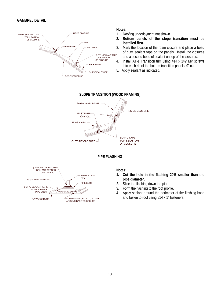# **GAMBREL DETAIL**



#### **Notes:**

- 1. Roofing underlayment not shown.
- **2. Bottom panels of the slope transition must be installed first.**
- 3. Mark the location of the foam closure and place a bead of butyl sealant tape on the panels. Install the closures and a second bead of sealant on top of the closures.
- 4. Install AT-1 Transition trim using #14 x 1½" MP screws into each rib of the bottom transition panels, 9" o.c.
- 5. Apply sealant as indicated.







- **1. Cut the hole in the flashing 20% smaller than the pipe diameter.**
- 2. Slide the flashing down the pipe.
- 3. Form the flashing to the roof profile.
- 4. Apply sealant around the perimeter of the flashing base and fasten to roof using #14 x 1" fasteners.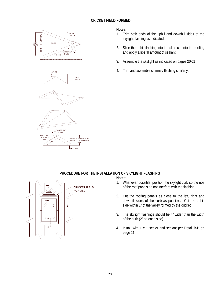# **CRICKET FIELD FORMED**









#### **Notes:**

- 1. Trim both ends of the uphill and downhill sides of the skylight flashing as indicated.
- 2. Slide the uphill flashing into the slots cut into the roofing and apply a liberal amount of sealant.
- 3. Assemble the skylight as indicated on pages 20-21.
- 4. Trim and assemble chimney flashing similarly.

# **PROCEDURE FOR THE INSTALLATION OF SKYLIGHT FLASHING**



- 1. Whenever possible, position the skylight curb so the ribs of the roof panels do not interfere with the flashing.
- 2. Cut the roofing panels as close to the left, right and downhill sides of the curb as possible. Cut the uphill side within 1" of the valley formed by the cricket.
- 3. The skylight flashings should be 4" wider than the width of the curb (2" on each side).
- 4. Install with 1 x 1 sealer and sealant per Detail B-B on page 21.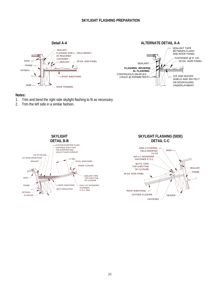# **SKYLIGHT FLASHING PREPARATION**

**Detail A-A** 

**ALTERNATE DETAIL A-A** 



- 1. Trim and bend the right side skylight flashing to fit as necessary.
- 2. Trim the left side in a similar fashion.

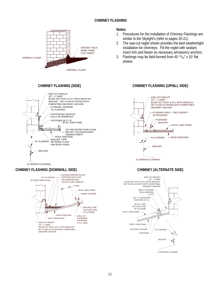# **CHIMNEY FLASHING**



#### **CHIMNEY FLASHING (SIDE)**



# **Notes:**

- 1. Procedures for the installation of Chimney Flashings are similar to the Skylight's (refer to pages 20-21).
- 2. The saw-cut reglet shown provides the best weathertight installation for chimneys. Fill the reglet with sealant, insert trim and fasten as necessary w/masonry anchors.
- 3. Flashings may be field-formed from 40  $13/16''$  x 10' flat sheets.

# **CHIMNEY FLASHING (UPHILL SIDE)**



#### **CHIMNEY (ALTERNATE SIDE)**





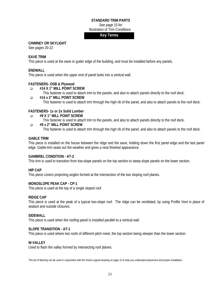#### **STANDARD TRIM PARTS**

See page 15 for

# Illustration of Trim Conditions

# **Key Terms**

# **CHIMNEY OR SKYLIGHT**

See pages 20-22

#### **EAVE TRIM**

This piece is used at the eave or gutter edge of the building, and must be installed before any panels.

# **ENDWALL**

This piece is used when the upper end of panel butts into a vertical wall.

# **FASTENERS- OSB & Plywood**

- **#14 X 1" MILL POINT SCREW** 
	- This fastener is used to attach trim to the panels, and also to attach panels directly to the roof deck.

#### **#14 x 2" MILL POINT SCREW**

This fastener is used to attach trim through the high rib of the panel, and also to attach panels to the roof deck.

# **FASTENERS- 1x or 2x Solid Lumber**

- **#9 X 1" MILL POINT SCREW** 
	- This fastener is used to attach trim to the panels, and also to attach panels directly to the roof deck.
- **#9 x 2" MILL POINT SCREW**  This fastener is used to attach trim through the high rib of the panel, and also to attach panels to the roof deck.

#### **GABLE TRIM**

This piece is installed on the house between the ridge and the eave, holding down the first panel edge and the last panel edge. Gable-trim seals out the weather and gives a neat finished appearance.

# **GAMBREL CONDITION - AT-2**

This trim is used to transition from low-slope panels on the top section to steep-slope panels on the lower section.

#### **HIP CAP**

This piece covers projecting angles formed at the intersection of the two sloping roof planes.

#### **MONOSLOPE PEAK CAP - CP-1**

This piece is used at the top of a single sloped roof.

#### **RIDGE CAP**

This piece is used at the peak of a typical two-slope roof. The ridge can be ventilated, by using Profile Vent in place of sealant and outside closures.

#### **SIDEWALL**

This piece is used when the roofing panel is installed parallel to a vertical wall.

#### **SLOPE TRANSITION - AT-1**

This piece is used where two roofs of different pitch meet, the top section being steeper than the lower section.

#### **W-VALLEY**

Used to flash the valley formed by intersecting roof planes.

This list of flashing can be used in conjunction with the Home Legend drawing on page 15 to help you understand placement and proper installation.